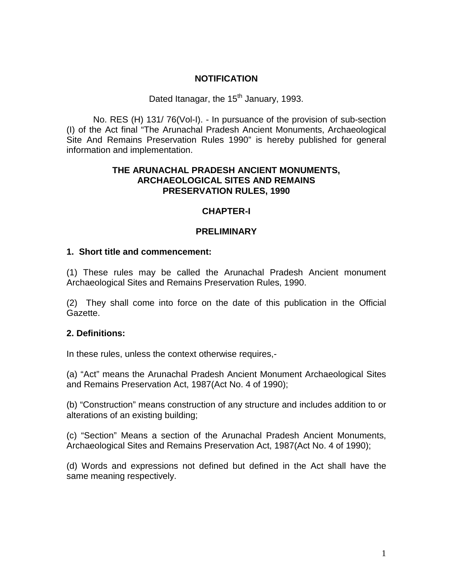# **NOTIFICATION**

Dated Itanagar, the 15<sup>th</sup> January, 1993.

No. RES (H) 131/ 76(Vol-I). - In pursuance of the provision of sub-section (I) of the Act final "The Arunachal Pradesh Ancient Monuments, Archaeological Site And Remains Preservation Rules 1990" is hereby published for general information and implementation.

# **THE ARUNACHAL PRADESH ANCIENT MONUMENTS, ARCHAEOLOGICAL SITES AND REMAINS PRESERVATION RULES, 1990**

# **CHAPTER-I**

# **PRELIMINARY**

# **1. Short title and commencement:**

(1) These rules may be called the Arunachal Pradesh Ancient monument Archaeological Sites and Remains Preservation Rules, 1990.

(2) They shall come into force on the date of this publication in the Official Gazette.

# **2. Definitions:**

In these rules, unless the context otherwise requires,-

(a) "Act" means the Arunachal Pradesh Ancient Monument Archaeological Sites and Remains Preservation Act, 1987(Act No. 4 of 1990);

(b) "Construction" means construction of any structure and includes addition to or alterations of an existing building;

(c) "Section" Means a section of the Arunachal Pradesh Ancient Monuments, Archaeological Sites and Remains Preservation Act, 1987(Act No. 4 of 1990);

(d) Words and expressions not defined but defined in the Act shall have the same meaning respectively.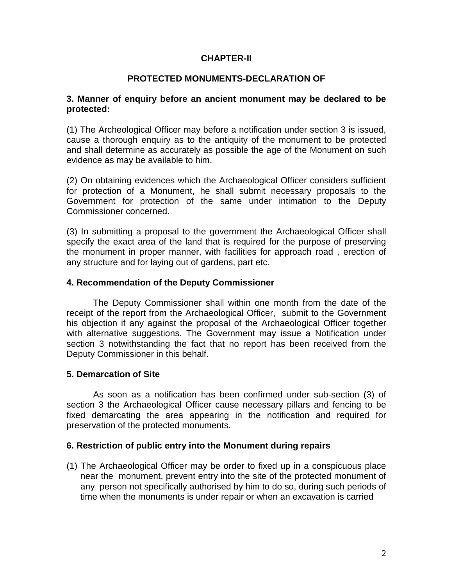# **CHAPTER-II**

### **PROTECTED MONUMENTS-DECLARATION OF**

#### **3. Manner of enquiry before an ancient monument may be declared to be protected:**

(1) The Archeological Officer may before a notification under section 3 is issued, cause a thorough enquiry as to the antiquity of the monument to be protected and shall determine as accurately as possible the age of the Monument on such evidence as may be available to him.

(2) On obtaining evidences which the Archaeological Officer considers sufficient for protection of a Monument, he shall submit necessary proposals to the Government for protection of the same under intimation to the Deputy Commissioner concerned.

(3) In submitting a proposal to the government the Archaeological Officer shall specify the exact area of the land that is required for the purpose of preserving the monument in proper manner, with facilities for approach road , erection of any structure and for laying out of gardens, part etc.

### **4. Recommendation of the Deputy Commissioner**

The Deputy Commissioner shall within one month from the date of the receipt of the report from the Archaeological Officer, submit to the Government his objection if any against the proposal of the Archaeological Officer together with alternative suggestions. The Government may issue a Notification under section 3 notwithstanding the fact that no report has been received from the Deputy Commissioner in this behalf.

# **5. Demarcation of Site**

As soon as a notification has been confirmed under sub-section (3) of section 3 the Archaeological Officer cause necessary pillars and fencing to be fixed demarcating the area appearing in the notification and required for preservation of the protected monuments.

#### **6. Restriction of public entry into the Monument during repairs**

(1) The Archaeological Officer may be order to fixed up in a conspicuous place near the monument, prevent entry into the site of the protected monument of any person not specifically authorised by him to do so, during such periods of time when the monuments is under repair or when an excavation is carried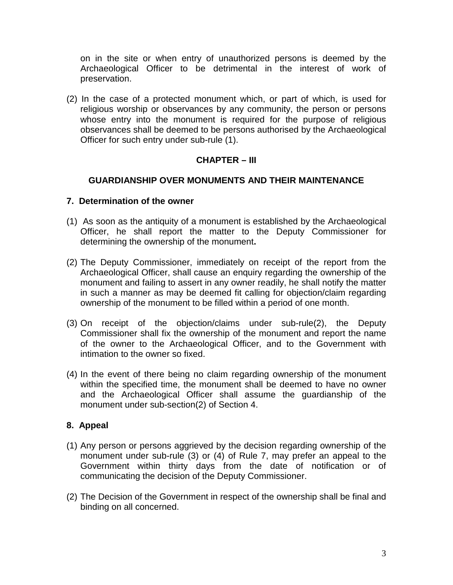on in the site or when entry of unauthorized persons is deemed by the Archaeological Officer to be detrimental in the interest of work of preservation.

(2) In the case of a protected monument which, or part of which, is used for religious worship or observances by any community, the person or persons whose entry into the monument is required for the purpose of religious observances shall be deemed to be persons authorised by the Archaeological Officer for such entry under sub-rule (1).

# **CHAPTER – III**

# **GUARDIANSHIP OVER MONUMENTS AND THEIR MAINTENANCE**

### **7. Determination of the owner**

- (1) As soon as the antiquity of a monument is established by the Archaeological Officer, he shall report the matter to the Deputy Commissioner for determining the ownership of the monument**.**
- (2) The Deputy Commissioner, immediately on receipt of the report from the Archaeological Officer, shall cause an enquiry regarding the ownership of the monument and failing to assert in any owner readily, he shall notify the matter in such a manner as may be deemed fit calling for objection/claim regarding ownership of the monument to be filled within a period of one month.
- (3) On receipt of the objection/claims under sub-rule(2), the Deputy Commissioner shall fix the ownership of the monument and report the name of the owner to the Archaeological Officer, and to the Government with intimation to the owner so fixed.
- (4) In the event of there being no claim regarding ownership of the monument within the specified time, the monument shall be deemed to have no owner and the Archaeological Officer shall assume the guardianship of the monument under sub-section(2) of Section 4.

# **8. Appeal**

- (1) Any person or persons aggrieved by the decision regarding ownership of the monument under sub-rule (3) or (4) of Rule 7, may prefer an appeal to the Government within thirty days from the date of notification or of communicating the decision of the Deputy Commissioner.
- (2) The Decision of the Government in respect of the ownership shall be final and binding on all concerned.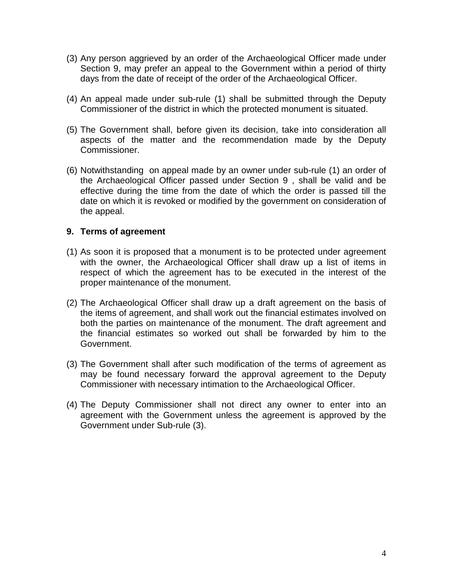- (3) Any person aggrieved by an order of the Archaeological Officer made under Section 9, may prefer an appeal to the Government within a period of thirty days from the date of receipt of the order of the Archaeological Officer.
- (4) An appeal made under sub-rule (1) shall be submitted through the Deputy Commissioner of the district in which the protected monument is situated.
- (5) The Government shall, before given its decision, take into consideration all aspects of the matter and the recommendation made by the Deputy Commissioner.
- (6) Notwithstanding on appeal made by an owner under sub-rule (1) an order of the Archaeological Officer passed under Section 9 , shall be valid and be effective during the time from the date of which the order is passed till the date on which it is revoked or modified by the government on consideration of the appeal.

# **9. Terms of agreement**

- (1) As soon it is proposed that a monument is to be protected under agreement with the owner, the Archaeological Officer shall draw up a list of items in respect of which the agreement has to be executed in the interest of the proper maintenance of the monument.
- (2) The Archaeological Officer shall draw up a draft agreement on the basis of the items of agreement, and shall work out the financial estimates involved on both the parties on maintenance of the monument. The draft agreement and the financial estimates so worked out shall be forwarded by him to the Government.
- (3) The Government shall after such modification of the terms of agreement as may be found necessary forward the approval agreement to the Deputy Commissioner with necessary intimation to the Archaeological Officer.
- (4) The Deputy Commissioner shall not direct any owner to enter into an agreement with the Government unless the agreement is approved by the Government under Sub-rule (3).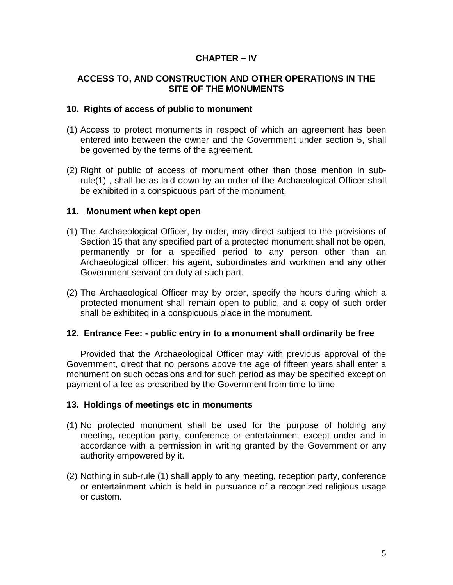# **CHAPTER – IV**

### **ACCESS TO, AND CONSTRUCTION AND OTHER OPERATIONS IN THE SITE OF THE MONUMENTS**

#### **10. Rights of access of public to monument**

- (1) Access to protect monuments in respect of which an agreement has been entered into between the owner and the Government under section 5, shall be governed by the terms of the agreement.
- (2) Right of public of access of monument other than those mention in subrule(1) , shall be as laid down by an order of the Archaeological Officer shall be exhibited in a conspicuous part of the monument.

### **11. Monument when kept open**

- (1) The Archaeological Officer, by order, may direct subject to the provisions of Section 15 that any specified part of a protected monument shall not be open, permanently or for a specified period to any person other than an Archaeological officer, his agent, subordinates and workmen and any other Government servant on duty at such part.
- (2) The Archaeological Officer may by order, specify the hours during which a protected monument shall remain open to public, and a copy of such order shall be exhibited in a conspicuous place in the monument.

# **12. Entrance Fee: - public entry in to a monument shall ordinarily be free**

Provided that the Archaeological Officer may with previous approval of the Government, direct that no persons above the age of fifteen years shall enter a monument on such occasions and for such period as may be specified except on payment of a fee as prescribed by the Government from time to time

#### **13. Holdings of meetings etc in monuments**

- (1) No protected monument shall be used for the purpose of holding any meeting, reception party, conference or entertainment except under and in accordance with a permission in writing granted by the Government or any authority empowered by it.
- (2) Nothing in sub-rule (1) shall apply to any meeting, reception party, conference or entertainment which is held in pursuance of a recognized religious usage or custom.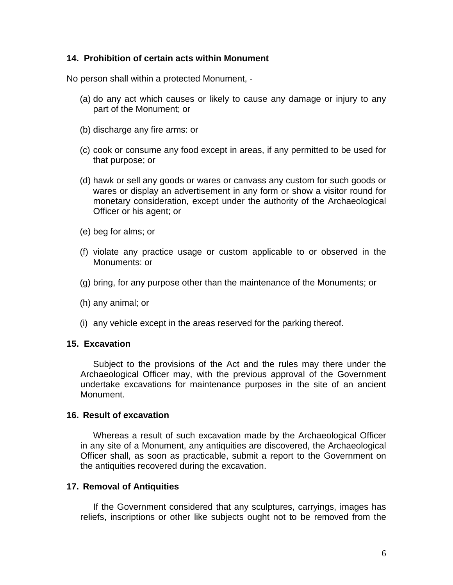### **14. Prohibition of certain acts within Monument**

No person shall within a protected Monument, -

- (a) do any act which causes or likely to cause any damage or injury to any part of the Monument; or
- (b) discharge any fire arms: or
- (c) cook or consume any food except in areas, if any permitted to be used for that purpose; or
- (d) hawk or sell any goods or wares or canvass any custom for such goods or wares or display an advertisement in any form or show a visitor round for monetary consideration, except under the authority of the Archaeological Officer or his agent; or
- (e) beg for alms; or
- (f) violate any practice usage or custom applicable to or observed in the Monuments: or
- (g) bring, for any purpose other than the maintenance of the Monuments; or
- (h) any animal; or
- (i) any vehicle except in the areas reserved for the parking thereof.

#### **15. Excavation**

Subject to the provisions of the Act and the rules may there under the Archaeological Officer may, with the previous approval of the Government undertake excavations for maintenance purposes in the site of an ancient Monument.

#### **16. Result of excavation**

Whereas a result of such excavation made by the Archaeological Officer in any site of a Monument, any antiquities are discovered, the Archaeological Officer shall, as soon as practicable, submit a report to the Government on the antiquities recovered during the excavation.

#### **17. Removal of Antiquities**

If the Government considered that any sculptures, carryings, images has reliefs, inscriptions or other like subjects ought not to be removed from the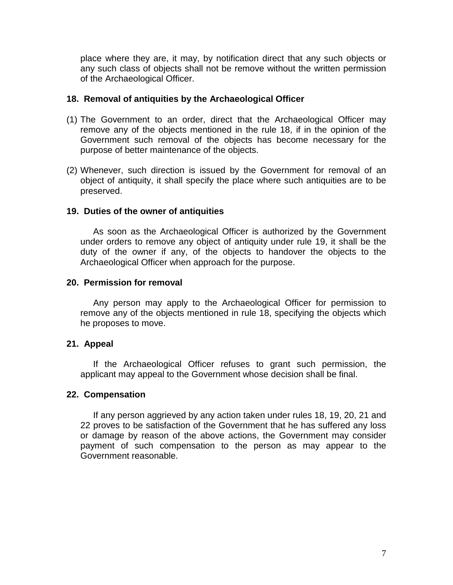place where they are, it may, by notification direct that any such objects or any such class of objects shall not be remove without the written permission of the Archaeological Officer.

### **18. Removal of antiquities by the Archaeological Officer**

- (1) The Government to an order, direct that the Archaeological Officer may remove any of the objects mentioned in the rule 18, if in the opinion of the Government such removal of the objects has become necessary for the purpose of better maintenance of the objects.
- (2) Whenever, such direction is issued by the Government for removal of an object of antiquity, it shall specify the place where such antiquities are to be preserved.

### **19. Duties of the owner of antiquities**

As soon as the Archaeological Officer is authorized by the Government under orders to remove any object of antiquity under rule 19, it shall be the duty of the owner if any, of the objects to handover the objects to the Archaeological Officer when approach for the purpose.

### **20. Permission for removal**

Any person may apply to the Archaeological Officer for permission to remove any of the objects mentioned in rule 18, specifying the objects which he proposes to move.

# **21. Appeal**

If the Archaeological Officer refuses to grant such permission, the applicant may appeal to the Government whose decision shall be final.

#### **22. Compensation**

If any person aggrieved by any action taken under rules 18, 19, 20, 21 and 22 proves to be satisfaction of the Government that he has suffered any loss or damage by reason of the above actions, the Government may consider payment of such compensation to the person as may appear to the Government reasonable.